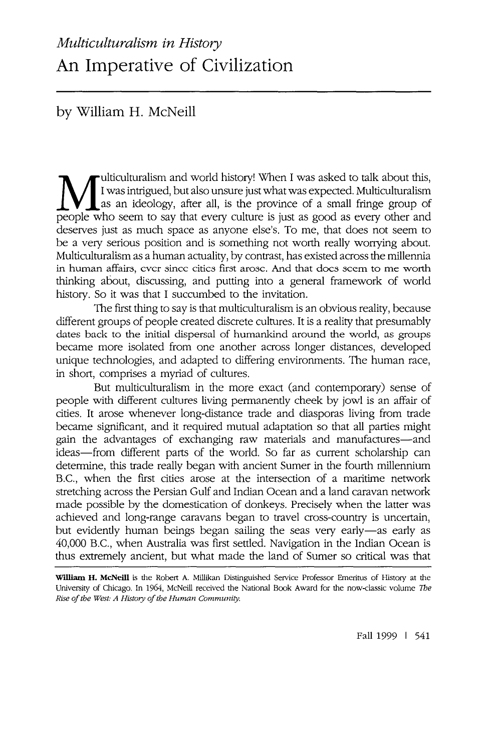## *Multiculturalism in History* An Imperative of Civilization

by William H. McNeil1

M ulticulturalism and world history! When I was asked to talk about this,<br>I was intrigued, but also unsure just what was expected. Multiculturalism<br>as an ideology, after all, is the province of a small fringe group of<br>peop I was intrigued, but also unsure just what was expected. Multiculturalism as an ideology, after all, is the province of a small fringe group of people who seem to say that every culture is just as good as every other and deserves just as much space as anyone else's To me, that does not seem to be a very serious position and is something not worth really worrying about. Multiculturalism as a human actuality, by contrast, has existed across the millennia in human affairs, ever since cities first arose. And that does seem to me worth thinking about, discussing, and putting into a general framework of world history. So it was that I succumbed to the invitation.

The first thing to say is that multiculturalism is an obvious reality, because different groups of people created discrete cultures. It is a reality that presumably dates back to the initial dispersal of humankind around the world, as groups became more isolated from one another across longer distances, developed unique technologies, and adapted to differing environments. The human race, in short, comprises a myriad of cultures.

But multiculturalism in the more exact (and contemporary) sense of people with different cultures living permanently cheek by jowl is an affair of cities, It arose whenever long-distance trade and diasporas living from trade became significant, and it required mutual adaptation so that all parties might gain the advantages of exchanging raw materials and manufactures-and ideas—from different parts of the world. So far as current scholarship can determine, this trade really began with ancient Sumer in the fourth millennium B.C., when the first cities arose at the intersection of a maritime network stretching across the Persian Gulf and Indian Ocean and a land caravan network made possible by the domestication of donkeys. Precisely when the latter was achieved and long-range caravans began to travel cross-country is uncertain, but evidently human beings began sailing the seas very early-as early as 40,000 B.C., when Australia was frst settled. Navigation in the Indian Ocean is thus extremely ancient, but what made the land of Sumer so critical was that

William H. McNeill is the Robert A. Millikan Distinguished Service Professor Emeritus of History at the University of Chicago. In 1964, McNeill received the National Book Award for the now-classic volume The *Rise of the West: A History of the Human Community.* 

Fall 1999 I **541**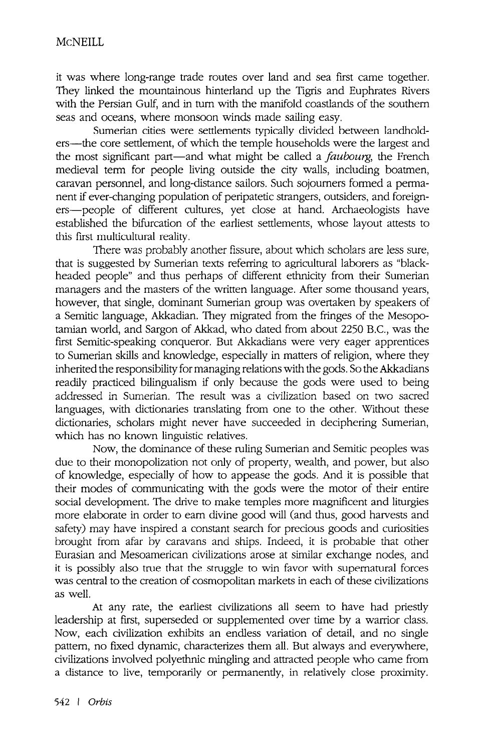it was where long-range trade routes over land and sea first came together. They linked the mountainous hinterland up the Tigris and Euphrates Rivers with the Persian Gulf, and in turn with the manifold coastlands of the southern seas and oceans, where monsoon winds made sailing easy.

Sumerian cities were settlements typically divided between landholders-the core settlement, of which the temple households were the largest and the most significant part-and what might be called a *faubourg, the* French medieval term for people living outside the city walls, including boatmen, caravan personnel, and long-distance sailors. Such sojourners formed a permanent if ever-changing population of peripatetic strangers, outsiders, and foreigners-people of different cultures, yet close at hand. Archaeologists have established the bifurcation of the earliest settlements, whose layout attests to this first multicultural reality.

There was probably another fissure, about which scholars are less sure, that is suggested by Sumerian texts referring to agricultural laborers as "blackheaded people" and thus perhaps of different ethnicity from their Sumerian managers and the masters of the written language. After some thousand years, however, that single, dominant Sumerian group was overtaken by speakers of a Semitic language, Akkadian. They migrated from the fringes of the Mesopotamian world, and Sargon of Akkad, who dated from about 2250 B.C., was the frst Semitic-speaking conqueror. But Akkadians were very eager apprentices to Sumerian skills and knowledge, especially in matters of religion, where they inherited the responsibility for managing relations with the gods. So the Akkadians readily practiced bilingualism if only because the gods were used to being addressed in Sumerian. The result was a civilization based on two sacred languages, with dictionaries translating from one to the other. Without these dictionaries, scholars might never have succeeded in deciphering Sumerian, which has no known linguistic relatives.

Now, the dominance of these ruling Sumerian and Semitic peoples was due to their monopolization not only of property, wealth, and power, but also of knowledge, especially of how to appease the gods. And it is possible that their modes of communicating with the gods were the motor of their entire social development. The drive to make temples more magnificent and liturgies more elaborate in order to earn divine good will (and thus, good harvests and safety) may have inspired a constant search for precious goods and curiosities brought from afar by caravans and ships. Indeed, it is probable that other Eurasian and Mesoamerican civilizations arose at similar exchange nodes, and it is possibly also true that the struggle to win favor with supernatural forces was central to the creation of cosmopolitan markets in each of these civilizations as well.

At any rate, the earliest civilizations all seem to have had priestly leadership at first, superseded or supplemented over time by a warrior class. Now, each civilization exhibits an endless variation of detail, and no single pattern, no fxed dynamic, characterizes them all. But always and everywhere, civilizations involved polyethnic mingling and attracted people who came from a distance to live, temporarily or permanently, in relatively close proximity.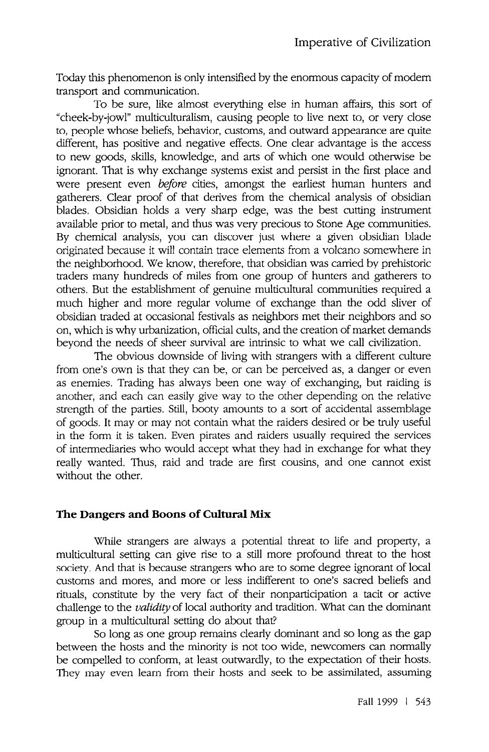Today this phenomenon is only intensified by the enormous capacity of modem transport and communication.

To be sure, like almost everything else in human affairs, this sort of "cheek-by-jowl" multiculturalism, causing people to live next to, or very close to, people whose beliefs, behavior, customs, and outward appearance are quite different, has positive and negative effects. One clear advantage is the access to new goods, skills, knowledge, and arts of which one would otherwise be ignorant. That is why exchange systems exist and persist in the first place and were present even *before* cities, amongst the earliest human hunters and gatherers, Clear proof of that derives from the chemical analysis of obsidian blades, Obsidian holds a very sharp edge, was the best cutting instrument available prior to metal, and thus was very precious to Stone Age communities. By chemical analysis, you can discover just where a given obsidian blade originated because it will contain trace elements from a volcano somewhere in the neighborhood. We know, therefore, that obsidian was carried by prehistoric traders many hundreds of miles from one group of hunters and gatherers to others. But the establishment of genuine multicultural communities required a much higher and more regular volume of exchange than the odd sliver of obsidian traded at occasional festivals as neighbors met their neighbors and so on, which is why urbanization, official cults, and the creation of market demands beyond the needs of sheer survival are intrinsic to what we call civilization.

The obvious downside of living with strangers with a different culture from one's own is that they can be, or can be perceived as, a danger or even as enemies. Trading has always been one way of exchanging, but raiding is another, and each can easily give way to the other depending on the relative strength of the parties. Still, booty amounts to a sort of accidental assemblage of goods, It may or may not contain what the raiders desired or be truly useful in the form it is taken. Even pirates and raiders usually required the services of intermediaries who would accept what they had in exchange for what they really wanted. Thus, raid and trade are first cousins, and one cannot exist without the other.

## **The Dangers** and **Boons of Cultural** Mix

While strangers are always a potential threat to life and property, a multicultural setting can give rise to a still more profound threat to the host society. And that is because strangers who are to some degree ignorant of local customs and mores, and more or less indifferent to one's sacred beliefs and rituals, constitute by the very fact of their nonparticipation a tacit or active challenge to the *validity* of local authority and tradition. What can the dominant group in a multicultural setting do about that?

So long as one group remains clearly dominant and so long as the gap between the hosts and the minority is not too wide, newcomers can normally be compelled to conform, at least outwardly, to the expectation of their hosts. They may even learn from their hosts and seek to be assimilated, assuming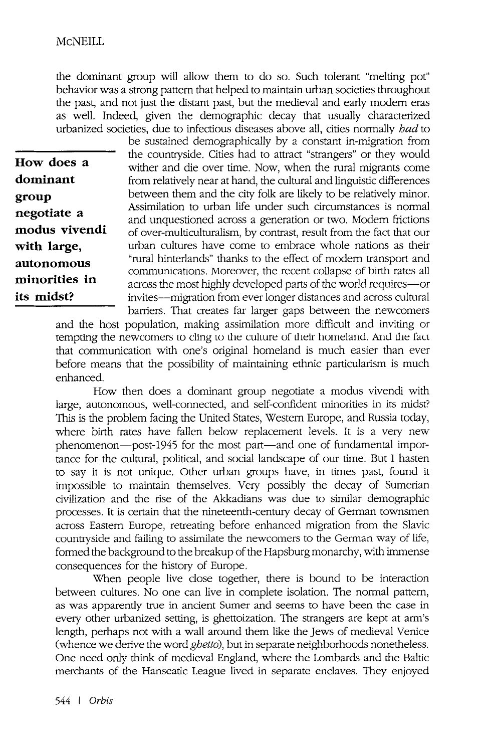the dominant group will allow them to do so. Such tolerant "melting pot" behavior was a strong pattern that helped to maintain urban societies throughout the past, and not just the distant past, but the medieval and early modem eras as well. Indeed, given the demographic decay that usually characterized urbanized societies, due to infectious diseases above all, cities normally *bad* to

**How does a negotiate a modus vivendi minorities in** 

be sustained demographically by a constant in-migration from the countryside. Cities had to attract "strangers" or they would wither and die over time. Now, when the rural migrants come **dominant from relatively near at hand, the cultural and linguistic differences group between them and the city folk are likely to be relatively minor.** Assimilation to urban life under such circumstances is normal and unquestioned across a generation or two. Modern frictions of over-multiculturalism, by contrast, result from the fact that our with large, urban cultures have come to embrace whole nations as their **autonomous** "rural hinterlands" thanks to the effect of modern transport and communications. Moreover, the recent collapse of birth rates all across the most highly developed parts of the world requires-or **its midst? invites—migration from ever longer distances and across cultural** barriers. That creates far larger gaps between the newcomers

and the host population, making assimilation more difficult and inviting or tempting the newcomers to cling to the culture of their homeland. And the fact that communication with one's original homeland is much easier than ever before means that the possibility of maintaining ethnic particularism is much enhanced.

How then does a dominant group negotiate a modus vivendi with large, autonomous, well-connected, and self-confident minorities in its midst? This is the problem facing the United States, Western Europe, and Russia today, where birth rates have fallen below replacement levels. It is a very new phenomenon-post-1945 for the most part-and one of fundamental importance for the cultural, political, and social landscape of our time. But I hasten to say it is not unique. Other urban groups have, in times past, found it impossible to maintain themselves. Very possibly the decay of Sumerian civilization and the rise of the Akkadians was due to similar demographic processes. It is certain that the nineteenth-century decay of German townsmen across Eastern Europe, retreating before enhanced migration from the Slavic countryside and failing to assimilate the newcomers to the German way of life, formed the background to the breakup of the Hapsburg monarchy, with immense consequences for the history of Europe.

When people live close together, there is bound to be interaction between cultures. No one can live in complete isolation, The normal pattern, as was apparently true in ancient Sumer and seems to have been the case in every other urbanized setting, is ghettoization. The strangers are kept at arm's length, perhaps not with a wall around them like the Jews of medieval Venice (whence we derive the word ghetto), but in separate neighborhoods nonetheless. One need only think of medieval England, where the Lombards and the Baltic merchants of the Hanseatic League lived in separate enclaves. They enjoyed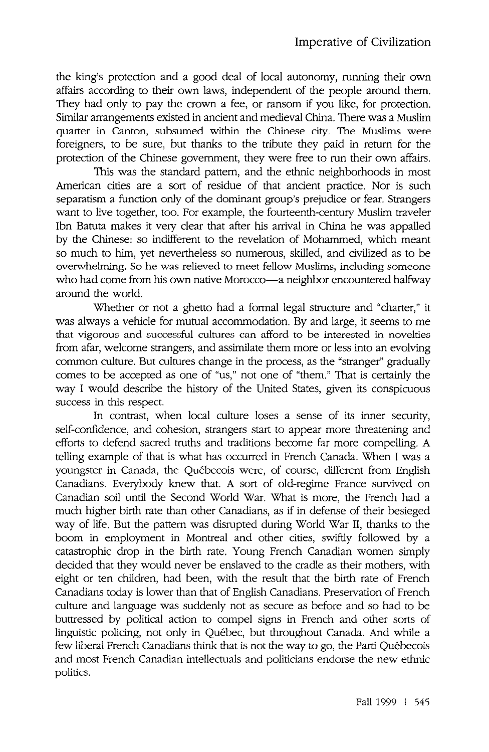the king's protection and a good deal of local autonomy, running their own affairs according to their own laws, independent of the people around them, They had only to pay the crown a fee, or ransom if you like, for protection. Similar arrangements existed in ancient and medieval China. There was a Muslim quarter in Canton, subsumed within the Chinese city. The Muslims were foreigners, to be sure, but thanks to the tribute they paid in return for the protection of the Chinese government, they were free to run their own affairs.

This was the standard pattern, and the ethnic neighborhoods in most American cities are a sort of residue of that ancient practice. Nor is such separatism a function only of the dominant group's prejudice or fear. Strangers want to live together, too. For example, the fourteenth-century Muslim traveler Ibn Batuta makes it very clear that after his arrival in China he was appalled by the Chinese: so indifferent to the revelation of Mohammed, which meant so much to him, yet nevertheless so numerous, skilled, and civilized as to be overwhelming. So he was relieved to meet fellow Muslims, including someone who had come from his own native Morocco-a neighbor encountered halfway around the world.

Whether or not a ghetto had a formal legal structure and "charter," it was always a vehicle for mutual accommodation. By and large, it seems to me that vigorous and successful cultures can afford to be interested in novelties from afar, welcome strangers, and assimilate them more or less into an evolving common culture. But cultures change in the process, as the "stranger" gradually comes to be accepted as one of "us," not one of "them." That is certainly the way I would describe the history of the United States, given its conspicuous success in this respect.

In contrast, when local culture loses a sense of its inner security, self-confidence, and cohesion, strangers start to appear more threatening and efforts to defend sacred truths and traditions become far more compelling. A telling example of that is what has occurred in French Canada. When I was a youngster in Canada, the Quebecois were, of course, different from English Canadians. Everybody knew that. A sort of old-regime France survived on Canadian soil until the Second World War. What is more, the French had a much higher birth rate than other Canadians, as if in defense of their besieged way of life. But the pattern was disrupted during World War II, thanks to the boom in employment in Montreal and other cities, swiftly followed by a catastrophic drop in the birth rate. Young French Canadian women simply decided that they would never be enslaved to the cradle as their mothers, with eight or ten children, had been, with the result that the birth rate of French Canadians today is lower than that of English Canadians. Preservation of French culture and language was suddenly not as secure as before and so had to be buttressed by political action to compel signs in French and other sorts of linguistic policing, not only in Quebec, but throughout Canada. And while a few liberal French Canadians think that is not the way to go, the Parti Québecois and most French Canadian intellectuals and politicians endorse the new ethnic politics.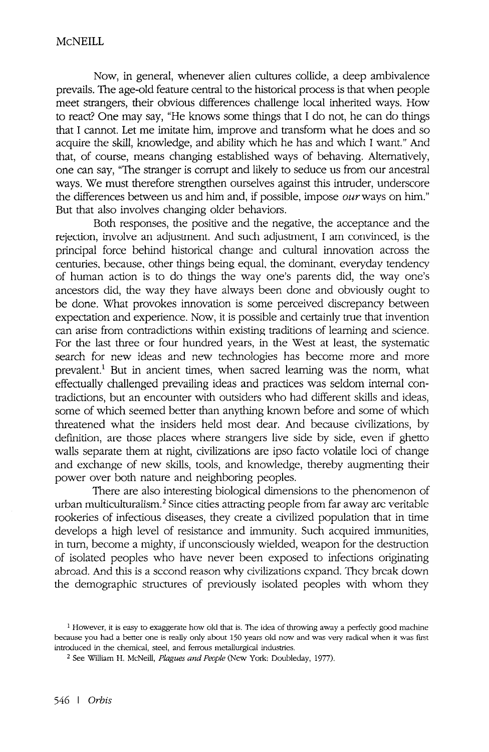Now, in general, whenever alien cultures collide, a deep ambivalence prevails. The age-old feature central to the historical process is that when people meet strangers, their obvious differences challenge local inherited ways, How to react? One may say, "He knows some things that I do not, he can do things that I cannot. Let me imitate him, improve and transform what he does and so acquire the skill, knowledge, and ability which he has and which I want." And that, of course, means changing established ways of behaving. Alternatively, one can say, "The stranger is corrupt and likely to seduce us from our ancestral ways. We must therefore strengthen ourselves against this intruder, underscore the differences between us and him and, if possible, impose *our* ways on him." But that also involves changing older behaviors.

Both responses, the positive and the negative, the acceptance and the rejection, involve an adjustment. And such adjustment, I am convinced, is the principal force behind historical change and cultural innovation across the centuries, because, other things being equal, the dominant, everyday tendency of human action is to do things the way one's parents did, the way one's ancestors did, the way they have always been done and obviously ought to be done. What provokes innovation is some perceived discrepancy between expectation and experience. Now, it is possible and certainly true that invention can arise from contradictions within existing traditions of learning and science. For the last three or four hundred years, in the West at least, the systematic search for new ideas and new technologies has become more and more prevalent.' But in ancient times, when sacred learning was the norm, what effectually challenged prevailing ideas and practices was seldom internal contradictions, but an encounter with outsiders who had different skills and ideas, some of which seemed better than anything known before and some of which threatened what the insiders held most dear. And because civilizations, by definition, are those places where strangers live side by side, even if ghetto walls separate them at night, civilizations are ipso facto volatile loci of change and exchange of new skills, tools, and knowledge, thereby augmenting their power over both nature and neighboring peoples.

There are also interesting biological dimensions to the phenomenon of urban multiculturalism.2 Since cities attracting people from far away are veritable rookeries of infectious diseases, they create a civilized population that in time develops a high level of resistance and immunity. Such acquired immunities, in turn, become a mighty, if unconsciously wielded, weapon for the destruction of isolated peoples who have never been exposed to infections originating abroad. And this is a second reason why civilizations expand. They break down the demographic structures of previously isolated peoples with whom they

<sup>&</sup>lt;sup>1</sup> However, it is easy to exaggerate how old that is. The idea of throwing away a perfectly good machine because you had a better one is really only about 150 years old now and was very radical when it was first introduced in the chemical, steel, and ferrous metallurgical industries.

<sup>&</sup>lt;sup>2</sup> See William H. McNeill, *Plagues and People* (New York: Doubleday, 1977).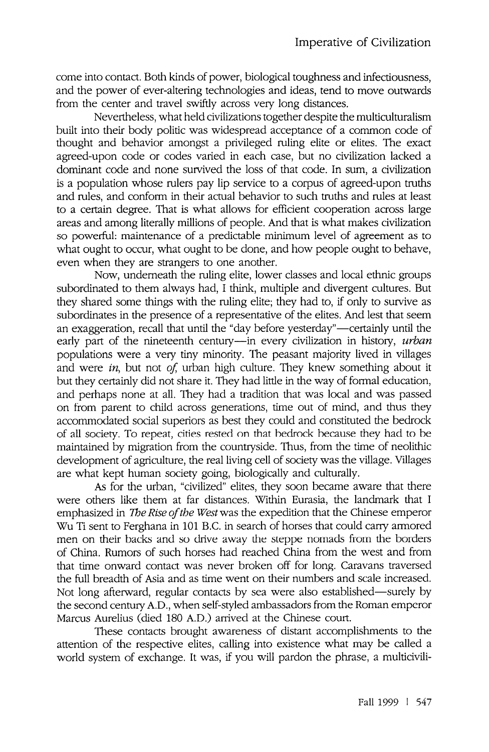come into contact. Both kinds of power, biological toughness and infectiousness, and the power of ever-altering technologies and ideas, tend to move outwards from the center and travel swiftly across very long distances.

Nevertheless, what held civilizations together despite the multiculturalism built into their body politic was widespread acceptance of a common code of thought and behavior amongst a privileged ruling elite or elites. The exact agreed-upon code or codes varied in each case, but no civilization lacked a dominant code and none survived the loss of that code. In sum, a civilization is a population whose rulers pay lip service to a corpus of agreed-upon truths and rules, and conform in their actual behavior to such truths and rules at least to a certain degree. That is what allows for efficient cooperation across large areas and among literally millions of people. And that is what makes civilization so powerful: maintenance of a predictable minimum level of agreement as to what ought to occur, what ought to be done, and how people ought to behave, even when they are strangers to one another.

Now, underneath the ruling elite, lower classes and local ethnic groups subordinated to them always had, I think, multiple and divergent cultures. But they shared some things with the ruling elite; they had to, if only to survive as subordinates in the presence of a representative of the elites. And lest that seem an exaggeration, recall that until the "day before yesterday"—certainly until the early part of the nineteenth century-in every civilization in history, *urban* populations were a very tiny minority. The peasant majority lived in villages and were in, but not of, urban high culture. They knew something about it but they certainly did not share it. They had little in the way of formal education, and perhaps none at all. They had a tradition that was local and was passed on from parent to child across generations, time out of mind, and thus they accommodated social superiors as best they could and constituted the bedrock of all society. To repeat, cities rested on that bedrock because they had to be maintained by migration from the countryside. Thus, from the time of neolithic development of agriculture, the real living cell of society was the village. Villages are what kept human society going, biologically and culturally.

As for the urban, "civilized" elites, they soon became aware that there were others like them at far distances, Within Eurasia, the landmark that I emphasized in 7he *Rise of the West* was the expedition that the Chinese emperor Wu Ti sent to Ferghana in 101 B.C. in search of horses that could carry armored men on their backs and so drive away the steppe nomads from the borders of China, Rumors of such horses had reached China from the west and from that time onward contact was never broken off for long. Caravans traversed the full breadth of Asia and as time went on their numbers and scale increased. Not long afterward, regular contacts by sea were also established—surely by the second century A.D., when self-styled ambassadors from the Roman emperor Marcus Aurelius (died 180 A.D.) arrived at the Chinese court.

These contacts brought awareness of distant accomplishments to the attention of the respective elites, calling into existence what may be called a world system of exchange. It was, if you will pardon the phrase, a multicivili-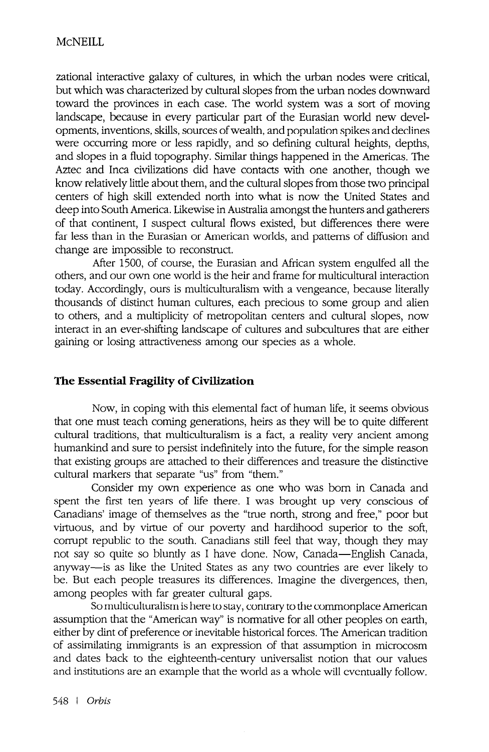## McNEILL

zational interactive galaxy of cultures, in which the urban nodes were critical, but which was characterized by cultural slopes from the urban nodes downward toward the provinces in each case. The world system was a sort of moving landscape, because in every particular part of the Eurasian world new developments, inventions, skills, sources of wealth, and population spikes and declines were occurring more or less rapidly, and so defining cultural heights, depths, and slopes in a fluid topography. Similar things happened in the Americas. The Aztec and Inca civilizations did have contacts with one another, though we know relatively little about them, and the cultural slopes from those two principal centers of high skill extended north into what is now the United States and deep into South America. Likewise in Australia amongst the hunters and gatherers of that continent, I suspect cultural flows existed, but differences there were far less than in the Eurasian or American worlds, and patterns of diffusion and change are impossible to reconstruct.

After 1500, of course, the Eurasian and African system engulfed all the others, and our own one world is the heir and frame for multicultural interaction today. Accordingly, ours is multiculturalism with a vengeance, because literally thousands of distinct human cultures, each precious to some group and alien to others, and a multiplicity of metropolitan centers and cultural slopes, now interact in an ever-shifting landscape of cultures and subcultures that are either gaining or losing attractiveness among our species as a whole.

## **The Essential Fragility of Civilization**

Now, in coping with this elemental fact of human life, it seems obvious that one must teach coming generations, heirs as they will be to quite different cultural traditions, that multiculturalism is a fact, a reality very ancient among humankind and sure to persist indefinitely into the future, for the simple reason that existing groups are attached to their differences and treasure the distinctive cultural markers that separate "us" from "them."

Consider my own experience as one who was born in Canada and spent the first ten years of life there. I was brought up very conscious of Canadians' image of themselves as the "true north, strong and free," poor but virtuous, and by virtue of our poverty and hardihood superior to the soft, corrupt republic to the south. Canadians still feel that way, though they may not say so quite so bluntly as I have done. Now, Canada-English Canada, anyway-is as like the United States as any two countries are ever likely to be. But each people treasures its differences. Imagine the divergences, then, among peoples with far greater cultural gaps.

So multiculturalism is here to stay, contrary to the commonplace American assumption that the "American way" is normative for all other peoples on earth, either by dint of preference or inevitable historical forces. The American tradition of assimilating immigrants is an expression of that assumption in microcosm and dates back to the eighteenth-century universalist notion that our values and institutions are an example that the world as a whole will eventually follow.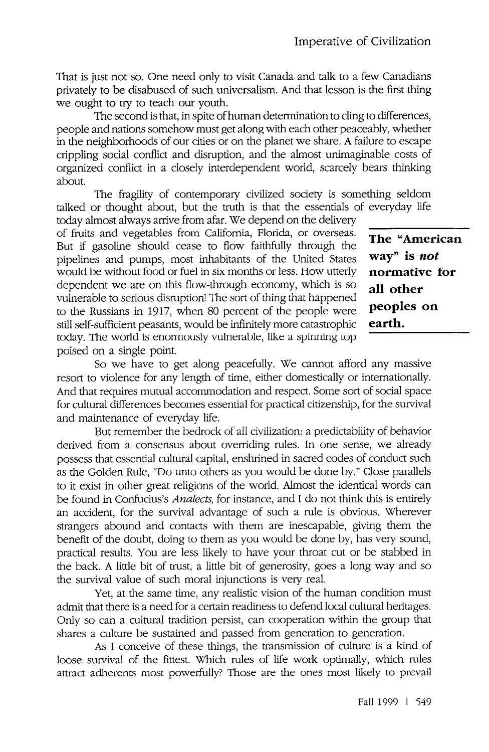That is just not so. One need only to visit Canada and talk to a few Canadians privately to be disabused of such universalism. And that lesson is the first thing we ought to try to teach our youth.

The second is that, in spite of human determination to cling to differences, people and nations somehow must get along with each other peaceably, whether in the neighborhoods of our cities or on the planet we share, A failure to escape crippling social conflict and disruption, and the almost unimaginable costs of organized conflict in a closely interdependent world, scarcely bears thinking about.

The fragility of contemporary civilized society is something seldom talked or thought about, but the truth is that the essentials of everyday life

today almost always arrive from afar. We depend on the delivery of fruits and vegetables from California, Florida, or overseas. But if gasoline should cease to flow faithfully through the **The "American** pipelines and pumps most inhabitants of the United States **way" is not** pipelines and pumps, most inhabitants of the United States would be without food or fuel in six months or less. How utterly normative for dependent we are on this flow-through economy, which is so vulnerable to serious disruption! The sort of thing that happened to the Russians in 1917, when 80 percent of the people were **peoples on** still self-sufficient peasants, would be infinitely more catastrophic **earth.** still self-sufficient peasants, would be infinitely more catastrophic today. The world is enormously vulnerable, like a spinning top poised on a single point.

all other

So we have to get along peacefully. We cannot afford any massive resort to violence for any length of time, either domestically or internationally. And that requires mutual accommodation and respect. Some sort of social space for cultural differences becomes essential for practical citizenship, for the survival and maintenance of everyday life.

But remember the bedrock of all civilization: a predictability of behavior derived from a consensus about overriding rules. In one sense, we already possess that essential cultural capital, enshrined in sacred codes of conduct such as the Golden Rule, "Do unto others as you would be done by." Close parallels to it exist in other great religions of the world. Almost the identical words can be found in Confucius's *Analects,* for instance, and I do not think this is entirely an accident, for the survival advantage of such a rule is obvious. Wherever strangers abound and contacts with them are inescapable, giving them the benefit of the doubt, doing to them as you would be done by, has very sound, practical results. You are less likely to have your throat cut or be stabbed in the back. A little bit of trust, a little bit of generosity, goes a long way and so the survival value of such moral injunctions is very real.

Yet, at the same time, any realistic vision of the human condition must admit that there is a need for a certain readiness to defend local cultural heritages. Only so can a cultural tradition persist, can cooperation within the group that shares a culture be sustained and passed from generation to generation.

As I conceive of these things, the transmission of culture is a kind of loose survival of the fittest. Which rules of life work optimally, which rules attract adherents most powerfully? Those are the ones most likely to prevail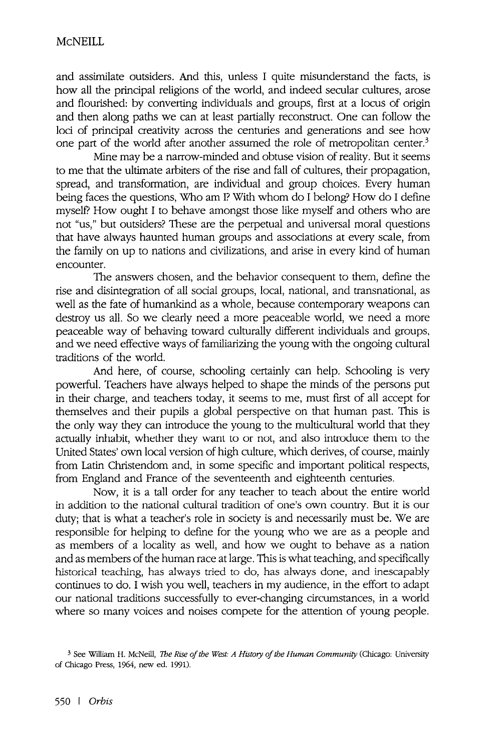and assimilate outsiders. And this, unless I quite misunderstand the facts, is how all the principal religions of the world, and indeed secular cultures, arose and flourished: by converting individuals and groups, first at a locus of origin and then along paths we can at least partially reconstruct. One can follow the loci of principal creativity across the centuries and generations and see how one part of the world after another assumed the role of metropolitan center.3

Mine may be a narrow-minded and obtuse vision of reality. But it seems to me that the ultimate arbiters of the rise and fall of cultures, their propagation, spread, and transformation, are individual and group choices. Every human being faces the questions, Who am I? With whom do I belong? How do I define myself? How ought I to behave amongst those like myself and others who are not "us," but outsiders? These are the perpetual and universal moral questions that have always haunted human groups and associations at every scale, from the family on up to nations and civilizations, and arise in every kind of human encounter.

The answers chosen, and the behavior consequent to them, define the rise and disintegration of all social groups, local, national, and transnational, as well as the fate of humankind as a whole, because contemporary weapons can destroy us all. So we clearly need a more peaceable world, we need a more peaceable way of behaving toward culturally different individuals and groups, and we need effective ways of familiarizing the young with the ongoing cultural traditions of the world.

And here, of course, schooling certainly can help. Schooling is very powerful. Teachers have always helped to shape the minds of the persons put in their charge, and teachers today, it seems to me, must first of all accept for themselves and their pupils a global perspective on that human past. This is the only way they can introduce the young to the multicultural world that they actually inhabit, whether they want to or not, and also introduce them to the United States' own local version of high culture, which derives, of course, mainly from Latin Christendom and, in some specific and important political respects, from England and France of the seventeenth and eighteenth centuries.

Now, it is a tall order for any teacher to teach about the entire world in addition to the national cultural tradition of one's own country. But it is our duty; that is what a teacher's role in society is and necessarily must be. We are responsible for helping to define for the young who we are as a people and as members of a locality as well, and how we ought to behave as a nation and as members of the human race at large, This is what teaching, and specifically historical teaching, has always tried to do, has always done, and inescapably continues to do. I wish you well, teachers in my audience, in the effort to adapt our national traditions successfully to ever-changing circumstances, in a world where so many voices and noises compete for the attention of young people.

<sup>&</sup>lt;sup>3</sup> See William H. McNeill, The Rise of the West: A History of the Human Community (Chicago: University of Chicago Press, 1964, new ed. 1991).